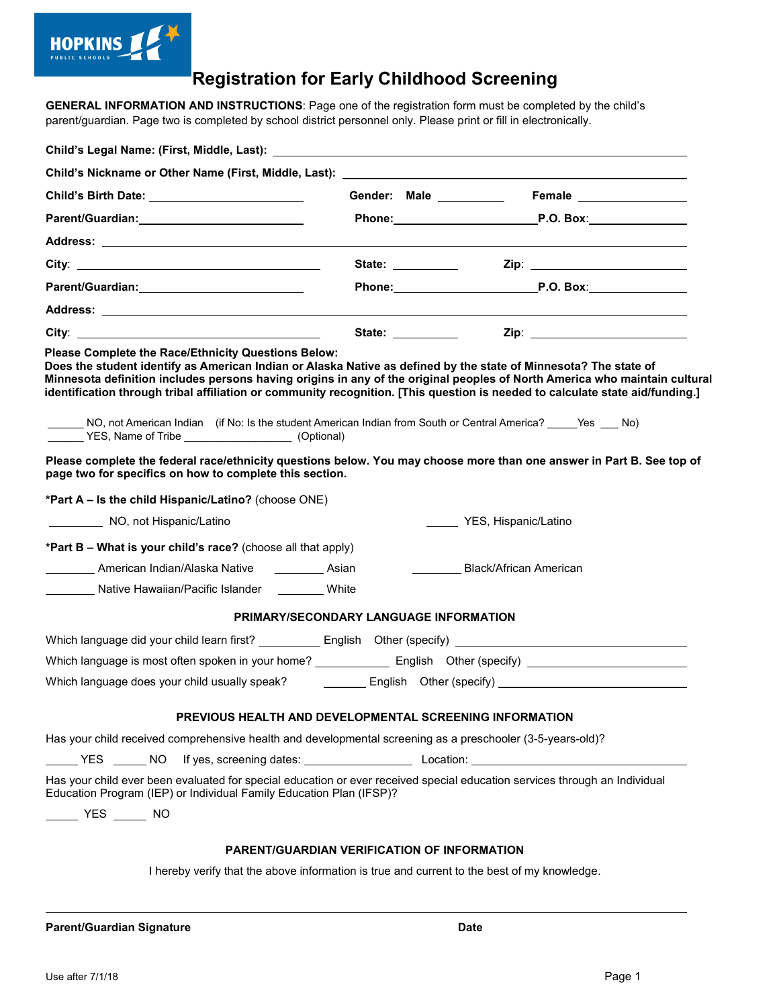

## **Registration for Early Childhood Screening**

 **GENERAL INFORMATION AND INSTRUCTIONS**: Page one of the registration form must be completed by the child's parent/guardian. Page two is completed by school district personnel only. Please print or fill in electronically.

| Child's Birth Date: ____________________________                                                                                                                                                                                                                                                                                                                                                                                                                                                                                                       |                                                                                                                                                                                                                                |  |
|--------------------------------------------------------------------------------------------------------------------------------------------------------------------------------------------------------------------------------------------------------------------------------------------------------------------------------------------------------------------------------------------------------------------------------------------------------------------------------------------------------------------------------------------------------|--------------------------------------------------------------------------------------------------------------------------------------------------------------------------------------------------------------------------------|--|
| Parent/Guardian: National Parent/Control of the Control of the Control of the Control of the Control of the Co                                                                                                                                                                                                                                                                                                                                                                                                                                         | Phone: P.O. Box:                                                                                                                                                                                                               |  |
|                                                                                                                                                                                                                                                                                                                                                                                                                                                                                                                                                        |                                                                                                                                                                                                                                |  |
|                                                                                                                                                                                                                                                                                                                                                                                                                                                                                                                                                        | State: the contract of the contract of the contract of the contract of the contract of the contract of the contract of the contract of the contract of the contract of the contract of the contract of the contract of the con |  |
| Parent/Guardian: _____________________________                                                                                                                                                                                                                                                                                                                                                                                                                                                                                                         | Phone: P.O. Box:                                                                                                                                                                                                               |  |
|                                                                                                                                                                                                                                                                                                                                                                                                                                                                                                                                                        |                                                                                                                                                                                                                                |  |
|                                                                                                                                                                                                                                                                                                                                                                                                                                                                                                                                                        |                                                                                                                                                                                                                                |  |
| Does the student identify as American Indian or Alaska Native as defined by the state of Minnesota? The state of<br>Minnesota definition includes persons having origins in any of the original peoples of North America who maintain cultural<br>identification through tribal affiliation or community recognition. [This question is needed to calculate state aid/funding.]<br>NO, not American Indian (if No: Is the student American Indian from South or Central America? _____Yes ___ No)<br>VES, Name of Tribe ____________________(Optional) |                                                                                                                                                                                                                                |  |
| Please complete the federal race/ethnicity questions below. You may choose more than one answer in Part B. See top of<br>page two for specifics on how to complete this section.<br>*Part A - Is the child Hispanic/Latino? (choose ONE)                                                                                                                                                                                                                                                                                                               |                                                                                                                                                                                                                                |  |
| NO, not Hispanic/Latino                                                                                                                                                                                                                                                                                                                                                                                                                                                                                                                                | YES, Hispanic/Latino                                                                                                                                                                                                           |  |
|                                                                                                                                                                                                                                                                                                                                                                                                                                                                                                                                                        |                                                                                                                                                                                                                                |  |
| *Part B - What is your child's race? (choose all that apply)                                                                                                                                                                                                                                                                                                                                                                                                                                                                                           |                                                                                                                                                                                                                                |  |
| <b>National American Indian/Alaska Native National American Indian/Alaska Native</b><br>Native Hawaiian/Pacific Islander ________White                                                                                                                                                                                                                                                                                                                                                                                                                 | Black/African American                                                                                                                                                                                                         |  |
|                                                                                                                                                                                                                                                                                                                                                                                                                                                                                                                                                        |                                                                                                                                                                                                                                |  |
| PRIMARY/SECONDARY LANGUAGE INFORMATION                                                                                                                                                                                                                                                                                                                                                                                                                                                                                                                 |                                                                                                                                                                                                                                |  |
| Which language did your child learn first? _____________ English Other (specify) _____________________________                                                                                                                                                                                                                                                                                                                                                                                                                                         |                                                                                                                                                                                                                                |  |
|                                                                                                                                                                                                                                                                                                                                                                                                                                                                                                                                                        |                                                                                                                                                                                                                                |  |
|                                                                                                                                                                                                                                                                                                                                                                                                                                                                                                                                                        |                                                                                                                                                                                                                                |  |
| PREVIOUS HEALTH AND DEVELOPMENTAL SCREENING INFORMATION                                                                                                                                                                                                                                                                                                                                                                                                                                                                                                |                                                                                                                                                                                                                                |  |
| Has your child received comprehensive health and developmental screening as a preschooler (3-5-years-old)?                                                                                                                                                                                                                                                                                                                                                                                                                                             |                                                                                                                                                                                                                                |  |
|                                                                                                                                                                                                                                                                                                                                                                                                                                                                                                                                                        |                                                                                                                                                                                                                                |  |
| Has your child ever been evaluated for special education or ever received special education services through an Individual<br>Education Program (IEP) or Individual Family Education Plan (IFSP)?                                                                                                                                                                                                                                                                                                                                                      |                                                                                                                                                                                                                                |  |
| ______ YES ______ NO                                                                                                                                                                                                                                                                                                                                                                                                                                                                                                                                   |                                                                                                                                                                                                                                |  |
| <b>PARENT/GUARDIAN VERIFICATION OF INFORMATION</b>                                                                                                                                                                                                                                                                                                                                                                                                                                                                                                     |                                                                                                                                                                                                                                |  |
| I hereby verify that the above information is true and current to the best of my knowledge.                                                                                                                                                                                                                                                                                                                                                                                                                                                            |                                                                                                                                                                                                                                |  |
|                                                                                                                                                                                                                                                                                                                                                                                                                                                                                                                                                        |                                                                                                                                                                                                                                |  |

 **Parent/Guardian Signature Date** 

 $\overline{a}$